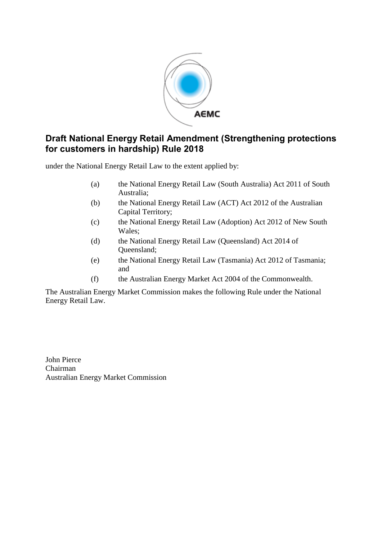

# **Draft National Energy Retail Amendment (Strengthening protections for customers in hardship) Rule 2018**

under the National Energy Retail Law to the extent applied by:

- (a) the National Energy Retail Law (South Australia) Act 2011 of South Australia;
- (b) the National Energy Retail Law (ACT) Act 2012 of the Australian Capital Territory;
- (c) the National Energy Retail Law (Adoption) Act 2012 of New South Wales;
- (d) the National Energy Retail Law (Queensland) Act 2014 of Queensland;
- (e) the National Energy Retail Law (Tasmania) Act 2012 of Tasmania; and
- (f) the Australian Energy Market Act 2004 of the Commonwealth.

The Australian Energy Market Commission makes the following Rule under the National Energy Retail Law.

John Pierce Chairman Australian Energy Market Commission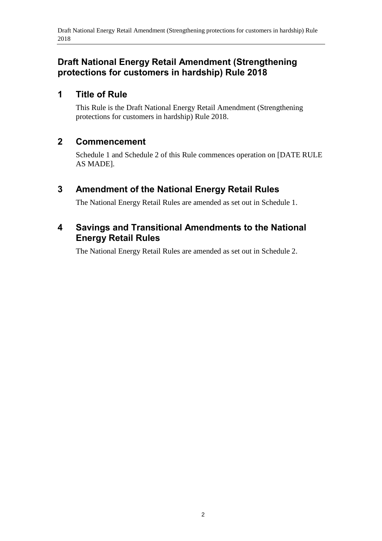# **Draft National Energy Retail Amendment (Strengthening protections for customers in hardship) Rule 2018**

## **1 Title of Rule**

This Rule is the Draft National Energy Retail Amendment (Strengthening protections for customers in hardship) Rule 2018.

## **2 Commencement**

Schedule 1 and Schedule 2 of this Rule commences operation on [DATE RULE AS MADE].

# <span id="page-1-0"></span>**3 Amendment of the National Energy Retail Rules**

The National Energy Retail Rules are amended as set out in [Schedule 1.](#page-2-0)

## <span id="page-1-1"></span>**4 Savings and Transitional Amendments to the National Energy Retail Rules**

The National Energy Retail Rules are amended as set out in [Schedule 2.](#page-5-0)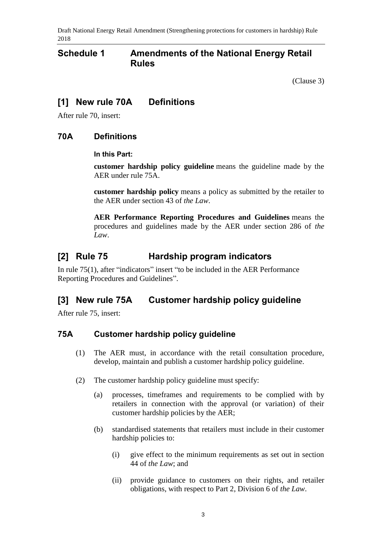Draft National Energy Retail Amendment (Strengthening protections for customers in hardship) Rule 2018

### <span id="page-2-0"></span>**Schedule 1 Amendments of the National Energy Retail Rules**

[\(Clause](#page-1-0) 3)

### **[1] New rule 70A Definitions**

After rule 70, insert:

#### **70A Definitions**

#### **In this Part:**

**customer hardship policy guideline** means the guideline made by the AER under rule 75A.

**customer hardship policy** means a policy as submitted by the retailer to the AER under section 43 of *the Law*.

**AER Performance Reporting Procedures and Guidelines** means the procedures and guidelines made by the AER under section 286 of *the Law*.

### **[2] Rule 75 Hardship program indicators**

In rule 75(1), after "indicators" insert "to be included in the AER Performance Reporting Procedures and Guidelines".

### **[3] New rule 75A Customer hardship policy guideline**

After rule 75, insert:

#### **75A Customer hardship policy guideline**

- (1) The AER must, in accordance with the retail consultation procedure, develop, maintain and publish a customer hardship policy guideline.
- (2) The customer hardship policy guideline must specify:
	- (a) processes, timeframes and requirements to be complied with by retailers in connection with the approval (or variation) of their customer hardship policies by the AER;
	- (b) standardised statements that retailers must include in their customer hardship policies to:
		- (i) give effect to the minimum requirements as set out in section 44 of *the Law*; and
		- (ii) provide guidance to customers on their rights, and retailer obligations, with respect to Part 2, Division 6 of *the Law*.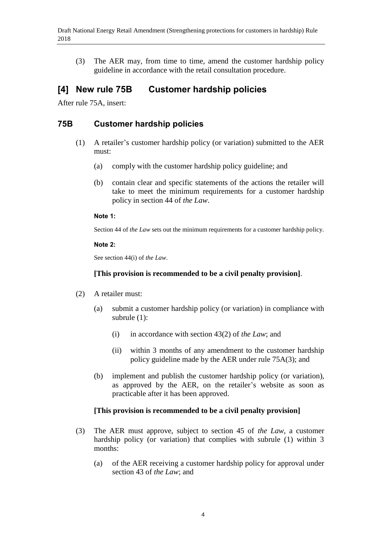(3) The AER may, from time to time, amend the customer hardship policy guideline in accordance with the retail consultation procedure.

## **[4] New rule 75B Customer hardship policies**

After rule 75A, insert:

### **75B Customer hardship policies**

- (1) A retailer's customer hardship policy (or variation) submitted to the AER must:
	- (a) comply with the customer hardship policy guideline; and
	- (b) contain clear and specific statements of the actions the retailer will take to meet the minimum requirements for a customer hardship policy in section 44 of *the Law*.

#### **Note 1:**

Section 44 of *the Law* sets out the minimum requirements for a customer hardship policy.

#### **Note 2:**

See section 44(i) of *the Law*.

#### **[This provision is recommended to be a civil penalty provision]**.

- (2) A retailer must:
	- (a) submit a customer hardship policy (or variation) in compliance with subrule (1):
		- (i) in accordance with section 43(2) of *the Law*; and
		- (ii) within 3 months of any amendment to the customer hardship policy guideline made by the AER under rule 75A(3); and
	- (b) implement and publish the customer hardship policy (or variation), as approved by the AER, on the retailer's website as soon as practicable after it has been approved.

#### **[This provision is recommended to be a civil penalty provision]**

- (3) The AER must approve, subject to section 45 of *the Law*, a customer hardship policy (or variation) that complies with subrule (1) within 3 months:
	- (a) of the AER receiving a customer hardship policy for approval under section 43 of *the Law*; and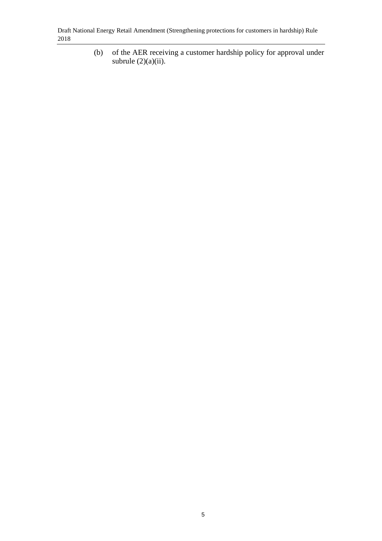(b) of the AER receiving a customer hardship policy for approval under subrule  $(2)(a)(ii)$ .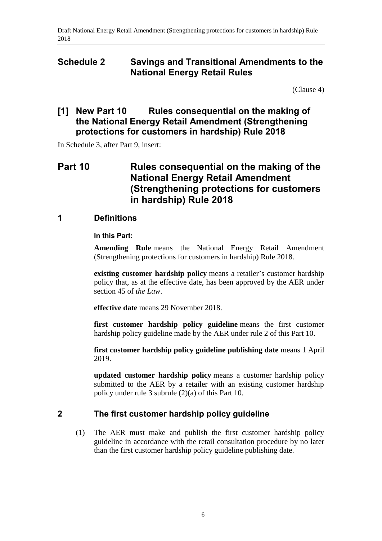### <span id="page-5-0"></span>**Schedule 2 Savings and Transitional Amendments to the National Energy Retail Rules**

[\(Clause 4\)](#page-1-1)

### **[1] New Part 10 Rules consequential on the making of the National Energy Retail Amendment (Strengthening protections for customers in hardship) Rule 2018**

In Schedule 3, after Part 9, insert:

# **Part 10 Rules consequential on the making of the National Energy Retail Amendment (Strengthening protections for customers in hardship) Rule 2018**

#### **1 Definitions**

#### **In this Part:**

**Amending Rule** means the National Energy Retail Amendment (Strengthening protections for customers in hardship) Rule 2018.

**existing customer hardship policy** means a retailer's customer hardship policy that, as at the effective date, has been approved by the AER under section 45 of *the Law*.

**effective date** means 29 November 2018.

**first customer hardship policy guideline** means the first customer hardship policy guideline made by the AER under rule 2 of this Part 10.

**first customer hardship policy guideline publishing date** means 1 April 2019.

**updated customer hardship policy** means a customer hardship policy submitted to the AER by a retailer with an existing customer hardship policy under rule 3 subrule (2)(a) of this Part 10.

#### **2 The first customer hardship policy guideline**

(1) The AER must make and publish the first customer hardship policy guideline in accordance with the retail consultation procedure by no later than the first customer hardship policy guideline publishing date.